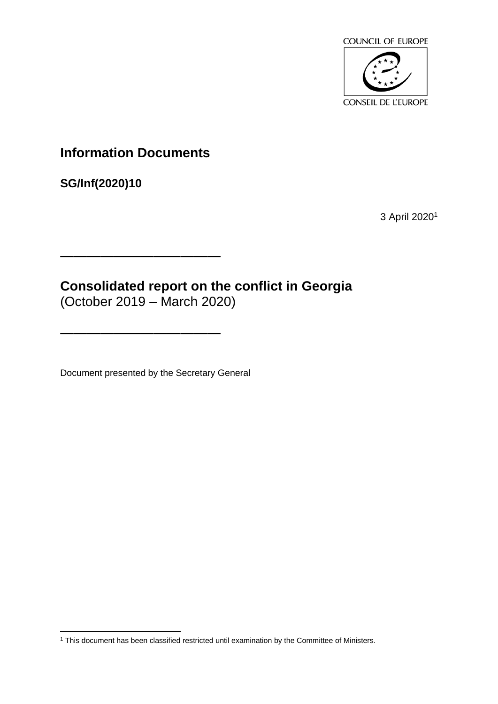

# **Information Documents**

**————————————**

**————————————**

**SG/Inf(2020)10**

3 April 2020<sup>1</sup>

**Consolidated report on the conflict in Georgia** (October 2019 – March 2020)

Document presented by the Secretary General

<sup>1</sup> This document has been classified restricted until examination by the Committee of Ministers.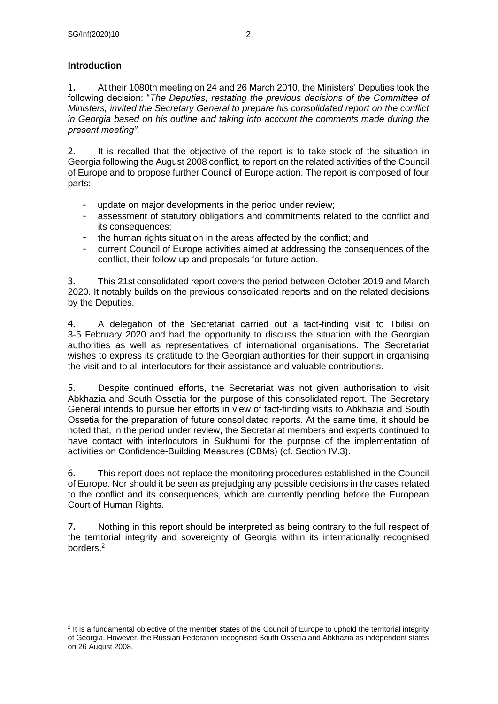## **Introduction**

1. At their 1080th meeting on 24 and 26 March 2010, the Ministers' Deputies took the following decision: "*The Deputies, restating the previous decisions of the Committee of Ministers, invited the Secretary General to prepare his consolidated report on the conflict in Georgia based on his outline and taking into account the comments made during the present meeting"*.

2. It is recalled that the objective of the report is to take stock of the situation in Georgia following the August 2008 conflict, to report on the related activities of the Council of Europe and to propose further Council of Europe action. The report is composed of four parts:

- update on major developments in the period under review;
- assessment of statutory obligations and commitments related to the conflict and its consequences;
- the human rights situation in the areas affected by the conflict; and
- current Council of Europe activities aimed at addressing the consequences of the conflict, their follow-up and proposals for future action.

3. This 21st consolidated report covers the period between October 2019 and March 2020. It notably builds on the previous consolidated reports and on the related decisions by the Deputies.

4. A delegation of the Secretariat carried out a fact-finding visit to Tbilisi on 3-5 February 2020 and had the opportunity to discuss the situation with the Georgian authorities as well as representatives of international organisations. The Secretariat wishes to express its gratitude to the Georgian authorities for their support in organising the visit and to all interlocutors for their assistance and valuable contributions.

5. Despite continued efforts, the Secretariat was not given authorisation to visit Abkhazia and South Ossetia for the purpose of this consolidated report. The Secretary General intends to pursue her efforts in view of fact-finding visits to Abkhazia and South Ossetia for the preparation of future consolidated reports. At the same time, it should be noted that, in the period under review, the Secretariat members and experts continued to have contact with interlocutors in Sukhumi for the purpose of the implementation of activities on Confidence-Building Measures (CBMs) (cf. Section IV.3).

6. This report does not replace the monitoring procedures established in the Council of Europe. Nor should it be seen as prejudging any possible decisions in the cases related to the conflict and its consequences, which are currently pending before the European Court of Human Rights.

7. Nothing in this report should be interpreted as being contrary to the full respect of the territorial integrity and sovereignty of Georgia within its internationally recognised borders.<sup>2</sup>

<sup>&</sup>lt;sup>2</sup> It is a fundamental objective of the member states of the Council of Europe to uphold the territorial integrity of Georgia. However, the Russian Federation recognised South Ossetia and Abkhazia as independent states on 26 August 2008.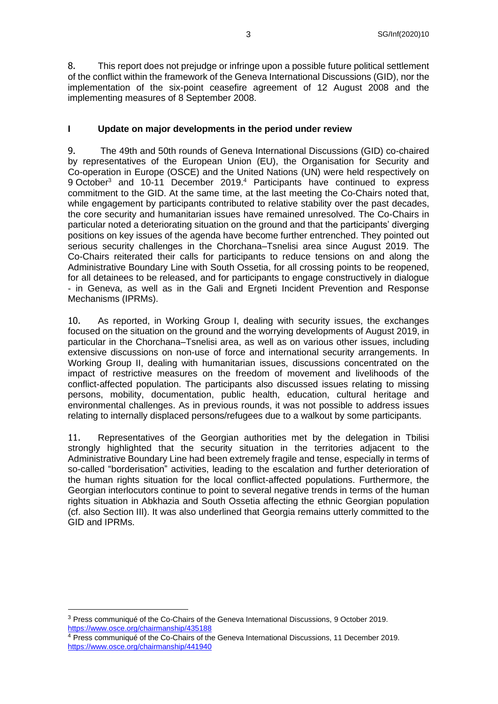8. This report does not prejudge or infringe upon a possible future political settlement of the conflict within the framework of the Geneva International Discussions (GID), nor the implementation of the six-point ceasefire agreement of 12 August 2008 and the implementing measures of 8 September 2008.

#### **I Update on major developments in the period under review**

9. The 49th and 50th rounds of Geneva International Discussions (GID) co-chaired by representatives of the European Union (EU), the Organisation for Security and Co-operation in Europe (OSCE) and the United Nations (UN) were held respectively on 9 October<sup>3</sup> and 10-11 December 2019.<sup>4</sup> Participants have continued to express commitment to the GID. At the same time, at the last meeting the Co-Chairs noted that, while engagement by participants contributed to relative stability over the past decades, the core security and humanitarian issues have remained unresolved. The Co-Chairs in particular noted a deteriorating situation on the ground and that the participants' diverging positions on key issues of the agenda have become further entrenched. They pointed out serious security challenges in the Chorchana–Tsnelisi area since August 2019. The Co-Chairs reiterated their calls for participants to reduce tensions on and along the Administrative Boundary Line with South Ossetia, for all crossing points to be reopened, for all detainees to be released, and for participants to engage constructively in dialogue - in Geneva, as well as in the Gali and Ergneti Incident Prevention and Response Mechanisms (IPRMs).

10. As reported, in Working Group I, dealing with security issues, the exchanges focused on the situation on the ground and the worrying developments of August 2019, in particular in the Chorchana–Tsnelisi area, as well as on various other issues, including extensive discussions on non-use of force and international security arrangements. In Working Group II, dealing with humanitarian issues, discussions concentrated on the impact of restrictive measures on the freedom of movement and livelihoods of the conflict-affected population. The participants also discussed issues relating to missing persons, mobility, documentation, public health, education, cultural heritage and environmental challenges. As in previous rounds, it was not possible to address issues relating to internally displaced persons/refugees due to a walkout by some participants.

11. Representatives of the Georgian authorities met by the delegation in Tbilisi strongly highlighted that the security situation in the territories adjacent to the Administrative Boundary Line had been extremely fragile and tense, especially in terms of so-called "borderisation" activities, leading to the escalation and further deterioration of the human rights situation for the local conflict-affected populations. Furthermore, the Georgian interlocutors continue to point to several negative trends in terms of the human rights situation in Abkhazia and South Ossetia affecting the ethnic Georgian population (cf. also Section III). It was also underlined that Georgia remains utterly committed to the GID and IPRMs.

<sup>3</sup> Press communiqué of the Co-Chairs of the Geneva International Discussions, 9 October 2019. <https://www.osce.org/chairmanship/435188>

<sup>&</sup>lt;sup>4</sup> Press communiqué of the Co-Chairs of the Geneva International Discussions, 11 December 2019. <https://www.osce.org/chairmanship/441940>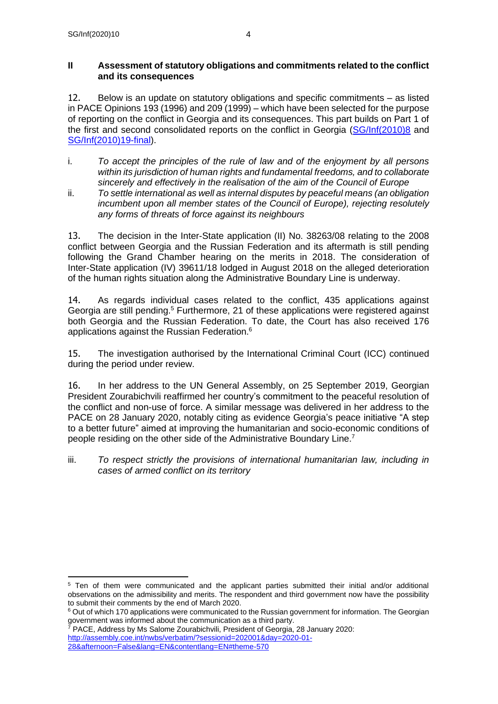### **II Assessment of statutory obligations and commitments related to the conflict and its consequences**

12. Below is an update on statutory obligations and specific commitments – as listed in PACE Opinions 193 (1996) and 209 (1999) – which have been selected for the purpose of reporting on the conflict in Georgia and its consequences. This part builds on Part 1 of the first and second consolidated reports on the conflict in Georgia [\(SG/Inf\(2010\)8](https://search.coe.int/cm/Pages/result_details.aspx?Reference=SG/Inf(2010)8) and [SG/Inf\(2010\)19-final\)](https://search.coe.int/cm/Pages/result_details.aspx?Reference=SG/Inf(2010)19-final).

- i. *To accept the principles of the rule of law and of the enjoyment by all persons within its jurisdiction of human rights and fundamental freedoms, and to collaborate sincerely and effectively in the realisation of the aim of the Council of Europe*
- ii. *To settle international as well as internal disputes by peaceful means (an obligation incumbent upon all member states of the Council of Europe), rejecting resolutely any forms of threats of force against its neighbours*

13. The decision in the Inter-State application (II) No. 38263/08 relating to the 2008 conflict between Georgia and the Russian Federation and its aftermath is still pending following the Grand Chamber hearing on the merits in 2018. The consideration of Inter-State application (IV) 39611/18 lodged in August 2018 on the alleged deterioration of the human rights situation along the Administrative Boundary Line is underway.

14. As regards individual cases related to the conflict, 435 applications against Georgia are still pending.<sup>5</sup> Furthermore, 21 of these applications were registered against both Georgia and the Russian Federation. To date, the Court has also received 176 applications against the Russian Federation. 6

15. The investigation authorised by the International Criminal Court (ICC) continued during the period under review.

16. In her address to the UN General Assembly, on 25 September 2019, Georgian President Zourabichvili reaffirmed her country's commitment to the peaceful resolution of the conflict and non-use of force. A similar message was delivered in her address to the PACE on 28 January 2020, notably citing as evidence Georgia's peace initiative "A step to a better future" aimed at improving the humanitarian and socio-economic conditions of people residing on the other side of the Administrative Boundary Line.<sup>7</sup>

iii. *To respect strictly the provisions of international humanitarian law, including in cases of armed conflict on its territory*

<sup>5</sup> Ten of them were communicated and the applicant parties submitted their initial and/or additional observations on the admissibility and merits. The respondent and third government now have the possibility to submit their comments by the end of March 2020.

<sup>&</sup>lt;sup>6</sup> Out of which 170 applications were communicated to the Russian government for information. The Georgian government was informed about the communication as a third party.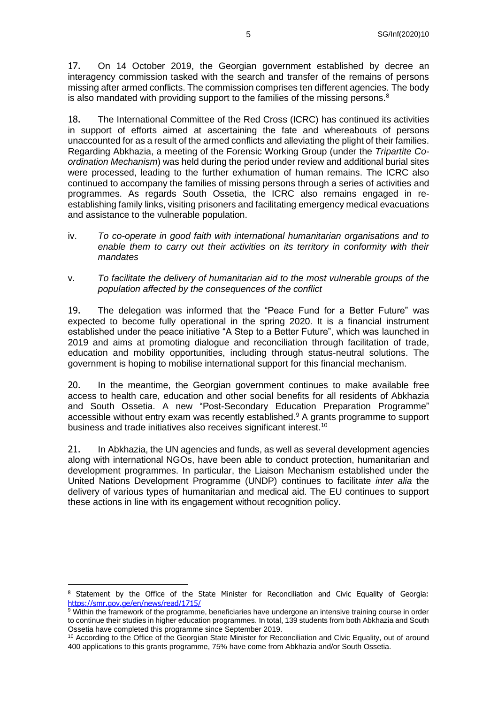17. On 14 October 2019, the Georgian government established by decree an interagency commission tasked with the search and transfer of the remains of persons missing after armed conflicts. The commission comprises ten different agencies. The body is also mandated with providing support to the families of the missing persons.<sup>8</sup>

18. The International Committee of the Red Cross (ICRC) has continued its activities in support of efforts aimed at ascertaining the fate and whereabouts of persons unaccounted for as a result of the armed conflicts and alleviating the plight of their families. Regarding Abkhazia, a meeting of the Forensic Working Group (under the *Tripartite Coordination Mechanism*) was held during the period under review and additional burial sites were processed, leading to the further exhumation of human remains. The ICRC also continued to accompany the families of missing persons through a series of activities and programmes. As regards South Ossetia, the ICRC also remains engaged in reestablishing family links, visiting prisoners and facilitating emergency medical evacuations and assistance to the vulnerable population.

- iv. *To co-operate in good faith with international humanitarian organisations and to enable them to carry out their activities on its territory in conformity with their mandates*
- v. *To facilitate the delivery of humanitarian aid to the most vulnerable groups of the population affected by the consequences of the conflict*

19. The delegation was informed that the "Peace Fund for a Better Future" was expected to become fully operational in the spring 2020. It is a financial instrument established under the peace initiative "A Step to a Better Future", which was launched in 2019 and aims at promoting dialogue and reconciliation through facilitation of trade, education and mobility opportunities, including through status-neutral solutions. The government is hoping to mobilise international support for this financial mechanism.

20. In the meantime, the Georgian government continues to make available free access to health care, education and other social benefits for all residents of Abkhazia and South Ossetia. A new "Post-Secondary Education Preparation Programme" accessible without entry exam was recently established.<sup>9</sup> A grants programme to support business and trade initiatives also receives significant interest.<sup>10</sup>

21. In Abkhazia, the UN agencies and funds, as well as several development agencies along with international NGOs, have been able to conduct protection, humanitarian and development programmes. In particular, the Liaison Mechanism established under the United Nations Development Programme (UNDP) continues to facilitate *inter alia* the delivery of various types of humanitarian and medical aid. The EU continues to support these actions in line with its engagement without recognition policy.

<sup>8</sup> Statement by the Office of the State Minister for Reconciliation and Civic Equality of Georgia: <https://smr.gov.ge/en/news/read/1715/>

 $9$  Within the framework of the programme, beneficiaries have undergone an intensive training course in order to continue their studies in higher education programmes. In total, 139 students from both Abkhazia and South Ossetia have completed this programme since September 2019.

<sup>&</sup>lt;sup>10</sup> According to the Office of the Georgian State Minister for Reconciliation and Civic Equality, out of around 400 applications to this grants programme, 75% have come from Abkhazia and/or South Ossetia.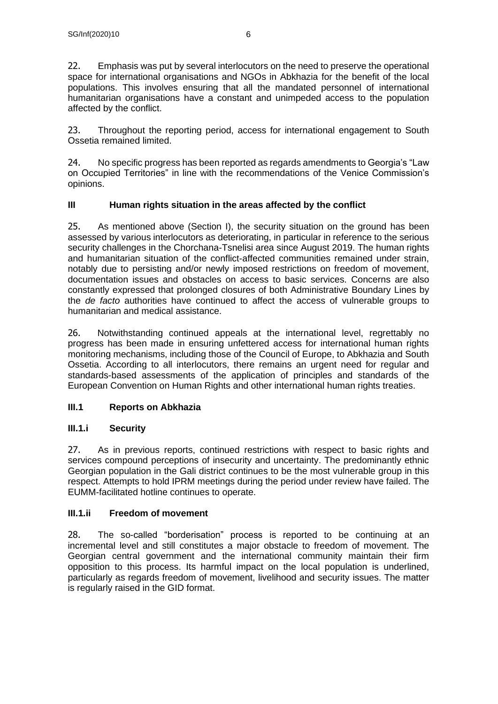22. Emphasis was put by several interlocutors on the need to preserve the operational space for international organisations and NGOs in Abkhazia for the benefit of the local populations. This involves ensuring that all the mandated personnel of international humanitarian organisations have a constant and unimpeded access to the population affected by the conflict.

23. Throughout the reporting period, access for international engagement to South Ossetia remained limited.

24. No specific progress has been reported as regards amendments to Georgia's "Law on Occupied Territories" in line with the recommendations of the Venice Commission's opinions.

## **III Human rights situation in the areas affected by the conflict**

25. As mentioned above (Section I), the security situation on the ground has been assessed by various interlocutors as deteriorating, in particular in reference to the serious security challenges in the Chorchana-Tsnelisi area since August 2019. The human rights and humanitarian situation of the conflict-affected communities remained under strain, notably due to persisting and/or newly imposed restrictions on freedom of movement, documentation issues and obstacles on access to basic services. Concerns are also constantly expressed that prolonged closures of both Administrative Boundary Lines by the *de facto* authorities have continued to affect the access of vulnerable groups to humanitarian and medical assistance.

26. Notwithstanding continued appeals at the international level, regrettably no progress has been made in ensuring unfettered access for international human rights monitoring mechanisms, including those of the Council of Europe, to Abkhazia and South Ossetia. According to all interlocutors, there remains an urgent need for regular and standards-based assessments of the application of principles and standards of the European Convention on Human Rights and other international human rights treaties.

## **III.1 Reports on Abkhazia**

## **III.1.i Security**

27. As in previous reports, continued restrictions with respect to basic rights and services compound perceptions of insecurity and uncertainty. The predominantly ethnic Georgian population in the Gali district continues to be the most vulnerable group in this respect. Attempts to hold IPRM meetings during the period under review have failed. The EUMM-facilitated hotline continues to operate.

#### **III.1.ii Freedom of movement**

28. The so-called "borderisation" process is reported to be continuing at an incremental level and still constitutes a major obstacle to freedom of movement. The Georgian central government and the international community maintain their firm opposition to this process. Its harmful impact on the local population is underlined, particularly as regards freedom of movement, livelihood and security issues. The matter is regularly raised in the GID format.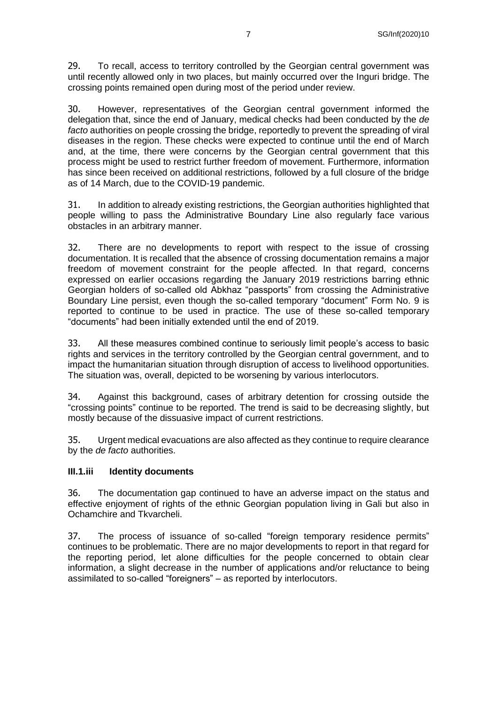29. To recall, access to territory controlled by the Georgian central government was until recently allowed only in two places, but mainly occurred over the Inguri bridge. The crossing points remained open during most of the period under review.

30. However, representatives of the Georgian central government informed the delegation that, since the end of January, medical checks had been conducted by the *de facto* authorities on people crossing the bridge, reportedly to prevent the spreading of viral diseases in the region. These checks were expected to continue until the end of March and, at the time, there were concerns by the Georgian central government that this process might be used to restrict further freedom of movement. Furthermore, information has since been received on additional restrictions, followed by a full closure of the bridge as of 14 March, due to the COVID-19 pandemic.

31. In addition to already existing restrictions, the Georgian authorities highlighted that people willing to pass the Administrative Boundary Line also regularly face various obstacles in an arbitrary manner.

32. There are no developments to report with respect to the issue of crossing documentation. It is recalled that the absence of crossing documentation remains a major freedom of movement constraint for the people affected. In that regard, concerns expressed on earlier occasions regarding the January 2019 restrictions barring ethnic Georgian holders of so-called old Abkhaz "passports" from crossing the Administrative Boundary Line persist, even though the so-called temporary "document" Form No. 9 is reported to continue to be used in practice. The use of these so-called temporary "documents" had been initially extended until the end of 2019.

33. All these measures combined continue to seriously limit people's access to basic rights and services in the territory controlled by the Georgian central government, and to impact the humanitarian situation through disruption of access to livelihood opportunities. The situation was, overall, depicted to be worsening by various interlocutors.

34. Against this background, cases of arbitrary detention for crossing outside the "crossing points" continue to be reported. The trend is said to be decreasing slightly, but mostly because of the dissuasive impact of current restrictions.

35. Urgent medical evacuations are also affected as they continue to require clearance by the *de facto* authorities.

#### **III.1.iii Identity documents**

36. The documentation gap continued to have an adverse impact on the status and effective enjoyment of rights of the ethnic Georgian population living in Gali but also in Ochamchire and Tkvarcheli.

37. The process of issuance of so-called "foreign temporary residence permits" continues to be problematic. There are no major developments to report in that regard for the reporting period, let alone difficulties for the people concerned to obtain clear information, a slight decrease in the number of applications and/or reluctance to being assimilated to so-called "foreigners" – as reported by interlocutors.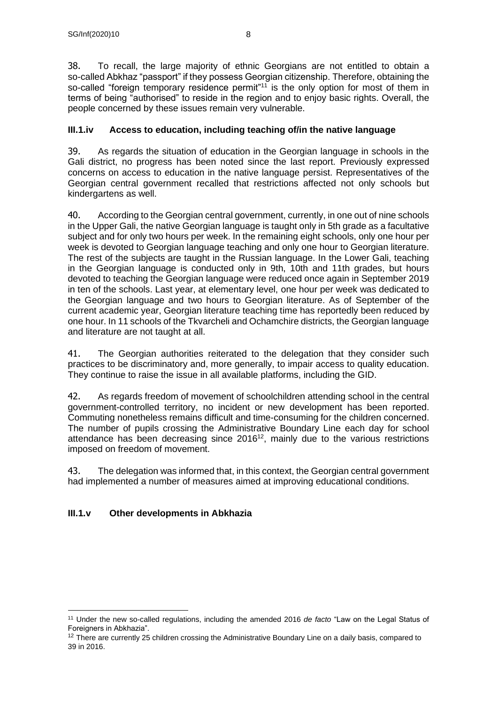38. To recall, the large majority of ethnic Georgians are not entitled to obtain a so-called Abkhaz "passport" if they possess Georgian citizenship. Therefore, obtaining the so-called "foreign temporary residence permit"<sup>11</sup> is the only option for most of them in terms of being "authorised" to reside in the region and to enjoy basic rights. Overall, the people concerned by these issues remain very vulnerable.

## **III.1.iv Access to education, including teaching of/in the native language**

39. As regards the situation of education in the Georgian language in schools in the Gali district, no progress has been noted since the last report. Previously expressed concerns on access to education in the native language persist. Representatives of the Georgian central government recalled that restrictions affected not only schools but kindergartens as well.

40. According to the Georgian central government, currently, in one out of nine schools in the Upper Gali, the native Georgian language is taught only in 5th grade as a facultative subject and for only two hours per week. In the remaining eight schools, only one hour per week is devoted to Georgian language teaching and only one hour to Georgian literature. The rest of the subjects are taught in the Russian language. In the Lower Gali, teaching in the Georgian language is conducted only in 9th, 10th and 11th grades, but hours devoted to teaching the Georgian language were reduced once again in September 2019 in ten of the schools. Last year, at elementary level, one hour per week was dedicated to the Georgian language and two hours to Georgian literature. As of September of the current academic year, Georgian literature teaching time has reportedly been reduced by one hour. In 11 schools of the Tkvarcheli and Ochamchire districts, the Georgian language and literature are not taught at all.

41. The Georgian authorities reiterated to the delegation that they consider such practices to be discriminatory and, more generally, to impair access to quality education. They continue to raise the issue in all available platforms, including the GID.

42. As regards freedom of movement of schoolchildren attending school in the central government-controlled territory, no incident or new development has been reported. Commuting nonetheless remains difficult and time-consuming for the children concerned. The number of pupils crossing the Administrative Boundary Line each day for school attendance has been decreasing since  $2016^{12}$ , mainly due to the various restrictions imposed on freedom of movement.

43. The delegation was informed that, in this context, the Georgian central government had implemented a number of measures aimed at improving educational conditions.

## **III.1.v Other developments in Abkhazia**

<sup>11</sup> Under the new so-called regulations, including the amended 2016 *de facto* "Law on the Legal Status of Foreigners in Abkhazia".

<sup>&</sup>lt;sup>12</sup> There are currently 25 children crossing the Administrative Boundary Line on a daily basis, compared to 39 in 2016.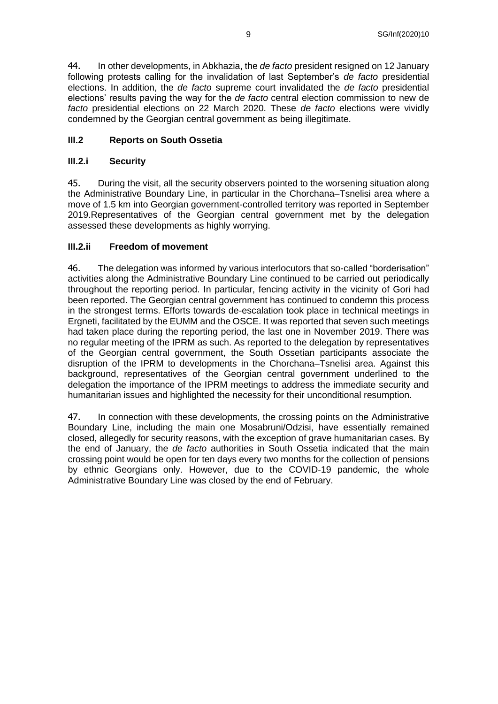44. In other developments, in Abkhazia, the *de facto* president resigned on 12 January following protests calling for the invalidation of last September's *de facto* presidential elections. In addition, the *de facto* supreme court invalidated the *de facto* presidential elections' results paving the way for the *de facto* central election commission to new de *facto* presidential elections on 22 March 2020. These *de facto* elections were vividly condemned by the Georgian central government as being illegitimate.

### **III.2 Reports on South Ossetia**

#### **III.2.i Security**

45. During the visit, all the security observers pointed to the worsening situation along the Administrative Boundary Line, in particular in the Chorchana–Tsnelisi area where a move of 1.5 km into Georgian government-controlled territory was reported in September 2019.Representatives of the Georgian central government met by the delegation assessed these developments as highly worrying.

#### **III.2.ii Freedom of movement**

46. The delegation was informed by various interlocutors that so-called "borderisation" activities along the Administrative Boundary Line continued to be carried out periodically throughout the reporting period. In particular, fencing activity in the vicinity of Gori had been reported. The Georgian central government has continued to condemn this process in the strongest terms. Efforts towards de-escalation took place in technical meetings in Ergneti, facilitated by the EUMM and the OSCE. It was reported that seven such meetings had taken place during the reporting period, the last one in November 2019. There was no regular meeting of the IPRM as such. As reported to the delegation by representatives of the Georgian central government, the South Ossetian participants associate the disruption of the IPRM to developments in the Chorchana–Tsnelisi area. Against this background, representatives of the Georgian central government underlined to the delegation the importance of the IPRM meetings to address the immediate security and humanitarian issues and highlighted the necessity for their unconditional resumption.

47. In connection with these developments, the crossing points on the Administrative Boundary Line, including the main one Mosabruni/Odzisi, have essentially remained closed, allegedly for security reasons, with the exception of grave humanitarian cases. By the end of January, the *de facto* authorities in South Ossetia indicated that the main crossing point would be open for ten days every two months for the collection of pensions by ethnic Georgians only. However, due to the COVID-19 pandemic, the whole Administrative Boundary Line was closed by the end of February.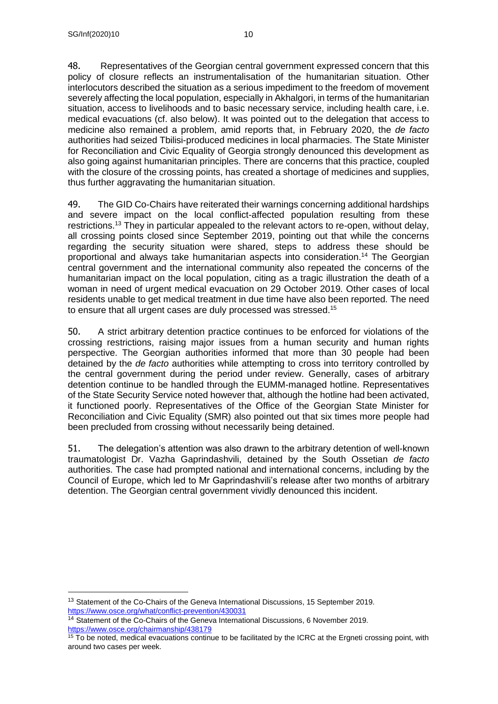48. Representatives of the Georgian central government expressed concern that this policy of closure reflects an instrumentalisation of the humanitarian situation. Other interlocutors described the situation as a serious impediment to the freedom of movement severely affecting the local population, especially in Akhalgori, in terms of the humanitarian situation, access to livelihoods and to basic necessary service, including health care, i.e. medical evacuations (cf. also below). It was pointed out to the delegation that access to medicine also remained a problem, amid reports that, in February 2020, the *de facto* authorities had seized Tbilisi-produced medicines in local pharmacies. The State Minister for Reconciliation and Civic Equality of Georgia strongly denounced this development as also going against humanitarian principles. There are concerns that this practice, coupled with the closure of the crossing points, has created a shortage of medicines and supplies, thus further aggravating the humanitarian situation.

49. The GID Co-Chairs have reiterated their warnings concerning additional hardships and severe impact on the local conflict-affected population resulting from these restrictions.<sup>13</sup> They in particular appealed to the relevant actors to re-open, without delay, all crossing points closed since September 2019, pointing out that while the concerns regarding the security situation were shared, steps to address these should be proportional and always take humanitarian aspects into consideration.<sup>14</sup> The Georgian central government and the international community also repeated the concerns of the humanitarian impact on the local population, citing as a tragic illustration the death of a woman in need of urgent medical evacuation on 29 October 2019. Other cases of local residents unable to get medical treatment in due time have also been reported. The need to ensure that all urgent cases are duly processed was stressed.<sup>15</sup>

50. A strict arbitrary detention practice continues to be enforced for violations of the crossing restrictions, raising major issues from a human security and human rights perspective. The Georgian authorities informed that more than 30 people had been detained by the *de facto* authorities while attempting to cross into territory controlled by the central government during the period under review. Generally, cases of arbitrary detention continue to be handled through the EUMM-managed hotline. Representatives of the State Security Service noted however that, although the hotline had been activated, it functioned poorly. Representatives of the Office of the Georgian State Minister for Reconciliation and Civic Equality (SMR) also pointed out that six times more people had been precluded from crossing without necessarily being detained.

51. The delegation's attention was also drawn to the arbitrary detention of well-known traumatologist Dr. Vazha Gaprindashvili, detained by the South Ossetian *de facto*  authorities. The case had prompted national and international concerns, including by the Council of Europe, which led to Mr Gaprindashvili's release after two months of arbitrary detention. The Georgian central government vividly denounced this incident.

<sup>&</sup>lt;sup>13</sup> Statement of the Co-Chairs of the Geneva International Discussions, 15 September 2019. <https://www.osce.org/what/conflict-prevention/430031>

<sup>14</sup> Statement of the Co-Chairs of the Geneva International Discussions, 6 November 2019. <https://www.osce.org/chairmanship/438179>

<sup>&</sup>lt;sup>15</sup> To be noted, medical evacuations continue to be facilitated by the ICRC at the Ergneti crossing point, with around two cases per week.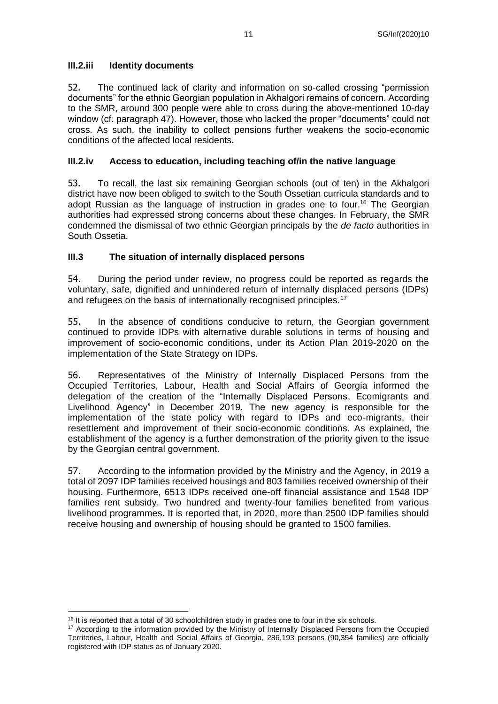#### **III.2.iii Identity documents**

52. The continued lack of clarity and information on so-called crossing "permission documents" for the ethnic Georgian population in Akhalgori remains of concern. According to the SMR, around 300 people were able to cross during the above-mentioned 10-day window (cf. paragraph 47). However, those who lacked the proper "documents" could not cross. As such, the inability to collect pensions further weakens the socio-economic conditions of the affected local residents.

#### **III.2.iv Access to education, including teaching of/in the native language**

53. To recall, the last six remaining Georgian schools (out of ten) in the Akhalgori district have now been obliged to switch to the South Ossetian curricula standards and to adopt Russian as the language of instruction in grades one to four. <sup>16</sup> The Georgian authorities had expressed strong concerns about these changes. In February, the SMR condemned the dismissal of two ethnic Georgian principals by the *de facto* authorities in South Ossetia.

#### **III.3 The situation of internally displaced persons**

54. During the period under review, no progress could be reported as regards the voluntary, safe, dignified and unhindered return of internally displaced persons (IDPs) and refugees on the basis of internationally recognised principles.<sup>17</sup>

55. In the absence of conditions conducive to return, the Georgian government continued to provide IDPs with alternative durable solutions in terms of housing and improvement of socio-economic conditions, under its Action Plan 2019-2020 on the implementation of the State Strategy on IDPs.

56. Representatives of the Ministry of Internally Displaced Persons from the Occupied Territories, Labour, Health and Social Affairs of Georgia informed the delegation of the creation of the "Internally Displaced Persons, Ecomigrants and Livelihood Agency" in December 2019. The new agency is responsible for the implementation of the state policy with regard to IDPs and eco-migrants, their resettlement and improvement of their socio-economic conditions. As explained, the establishment of the agency is a further demonstration of the priority given to the issue by the Georgian central government.

57. According to the information provided by the Ministry and the Agency, in 2019 a total of 2097 IDP families received housings and 803 families received ownership of their housing. Furthermore, 6513 IDPs received one-off financial assistance and 1548 IDP families rent subsidy. Two hundred and twenty-four families benefited from various livelihood programmes. It is reported that, in 2020, more than 2500 IDP families should receive housing and ownership of housing should be granted to 1500 families.

<sup>&</sup>lt;sup>16</sup> It is reported that a total of 30 schoolchildren study in grades one to four in the six schools.

<sup>&</sup>lt;sup>17</sup> According to the information provided by the Ministry of Internally Displaced Persons from the Occupied Territories, Labour, Health and Social Affairs of Georgia, 286,193 persons (90,354 families) are officially registered with IDP status as of January 2020.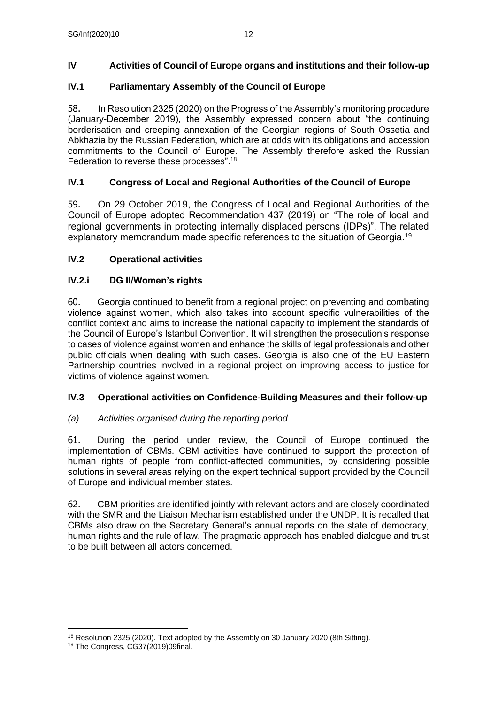## **IV Activities of Council of Europe organs and institutions and their follow-up**

## **IV.1 Parliamentary Assembly of the Council of Europe**

58. In Resolution 2325 (2020) on the Progress of the Assembly's monitoring procedure (January-December 2019), the Assembly expressed concern about "the continuing borderisation and creeping annexation of the Georgian regions of South Ossetia and Abkhazia by the Russian Federation, which are at odds with its obligations and accession commitments to the Council of Europe. The Assembly therefore asked the Russian Federation to reverse these processes".<sup>18</sup>

## **IV.1 Congress of Local and Regional Authorities of the Council of Europe**

59. On 29 October 2019, the Congress of Local and Regional Authorities of the Council of Europe adopted Recommendation 437 (2019) on "The role of local and regional governments in protecting internally displaced persons (IDPs)". The related explanatory memorandum made specific references to the situation of Georgia.<sup>19</sup>

## **IV.2 Operational activities**

## **IV.2.i DG II/Women's rights**

60. Georgia continued to benefit from a regional project on preventing and combating violence against women, which also takes into account specific vulnerabilities of the conflict context and aims to increase the national capacity to implement the standards of the Council of Europe's Istanbul Convention. It will strengthen the prosecution's response to cases of violence against women and enhance the skills of legal professionals and other public officials when dealing with such cases. Georgia is also one of the EU Eastern Partnership countries involved in a regional project on improving access to justice for victims of violence against women.

## **IV.3 Operational activities on Confidence-Building Measures and their follow-up**

## *(a) Activities organised during the reporting period*

61. During the period under review, the Council of Europe continued the implementation of CBMs. CBM activities have continued to support the protection of human rights of people from conflict-affected communities, by considering possible solutions in several areas relying on the expert technical support provided by the Council of Europe and individual member states.

62. CBM priorities are identified jointly with relevant actors and are closely coordinated with the SMR and the Liaison Mechanism established under the UNDP. It is recalled that CBMs also draw on the Secretary General's annual reports on the state of democracy, human rights and the rule of law. The pragmatic approach has enabled dialogue and trust to be built between all actors concerned.

<sup>&</sup>lt;sup>18</sup> Resolution 2325 (2020). Text adopted by the Assembly on 30 January 2020 (8th Sitting).

<sup>19</sup> The Congress, CG37(2019)09final.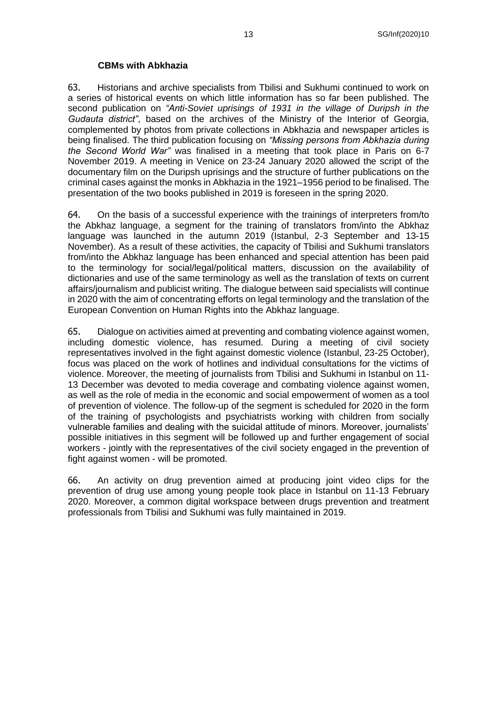#### **CBMs with Abkhazia**

63. Historians and archive specialists from Tbilisi and Sukhumi continued to work on a series of historical events on which little information has so far been published. The second publication on *"Anti-Soviet uprisings of 1931 in the village of Duripsh in the Gudauta district"*, based on the archives of the Ministry of the Interior of Georgia, complemented by photos from private collections in Abkhazia and newspaper articles is being finalised. The third publication focusing on *"Missing persons from Abkhazia during the Second World War"* was finalised in a meeting that took place in Paris on 6-7 November 2019. A meeting in Venice on 23-24 January 2020 allowed the script of the documentary film on the Duripsh uprisings and the structure of further publications on the criminal cases against the monks in Abkhazia in the 1921–1956 period to be finalised. The presentation of the two books published in 2019 is foreseen in the spring 2020.

64. On the basis of a successful experience with the trainings of interpreters from/to the Abkhaz language, a segment for the training of translators from/into the Abkhaz language was launched in the autumn 2019 (Istanbul, 2-3 September and 13-15 November). As a result of these activities, the capacity of Tbilisi and Sukhumi translators from/into the Abkhaz language has been enhanced and special attention has been paid to the terminology for social/legal/political matters, discussion on the availability of dictionaries and use of the same terminology as well as the translation of texts on current affairs/journalism and publicist writing. The dialogue between said specialists will continue in 2020 with the aim of concentrating efforts on legal terminology and the translation of the European Convention on Human Rights into the Abkhaz language.

65. Dialogue on activities aimed at preventing and combating violence against women, including domestic violence, has resumed. During a meeting of civil society representatives involved in the fight against domestic violence (Istanbul, 23-25 October), focus was placed on the work of hotlines and individual consultations for the victims of violence. Moreover, the meeting of journalists from Tbilisi and Sukhumi in Istanbul on 11- 13 December was devoted to media coverage and combating violence against women, as well as the role of media in the economic and social empowerment of women as a tool of prevention of violence. The follow-up of the segment is scheduled for 2020 in the form of the training of psychologists and psychiatrists working with children from socially vulnerable families and dealing with the suicidal attitude of minors. Moreover, journalists' possible initiatives in this segment will be followed up and further engagement of social workers - jointly with the representatives of the civil society engaged in the prevention of fight against women - will be promoted.

66. An activity on drug prevention aimed at producing joint video clips for the prevention of drug use among young people took place in Istanbul on 11-13 February 2020. Moreover, a common digital workspace between drugs prevention and treatment professionals from Tbilisi and Sukhumi was fully maintained in 2019.